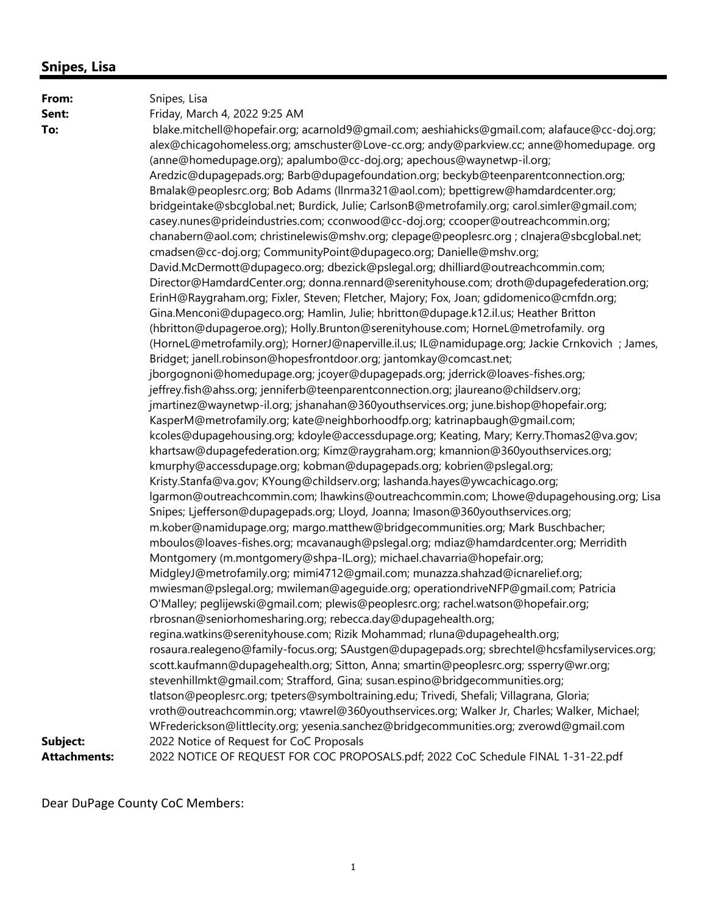| From:               | Snipes, Lisa                                                                                    |
|---------------------|-------------------------------------------------------------------------------------------------|
| Sent:               | Friday, March 4, 2022 9:25 AM                                                                   |
| To:                 | blake.mitchell@hopefair.org; acarnold9@gmail.com; aeshiahicks@gmail.com; alafauce@cc-doj.org;   |
|                     | alex@chicagohomeless.org; amschuster@Love-cc.org; andy@parkview.cc; anne@homedupage. org        |
|                     | (anne@homedupage.org); apalumbo@cc-doj.org; apechous@waynetwp-il.org;                           |
|                     | Aredzic@dupagepads.org; Barb@dupagefoundation.org; beckyb@teenparentconnection.org;             |
|                     | Bmalak@peoplesrc.org; Bob Adams (llnrma321@aol.com); bpettigrew@hamdardcenter.org;              |
|                     | bridgeintake@sbcglobal.net; Burdick, Julie; CarlsonB@metrofamily.org; carol.simler@gmail.com;   |
|                     | casey.nunes@prideindustries.com; cconwood@cc-doj.org; ccooper@outreachcommin.org;               |
|                     | chanabern@aol.com; christinelewis@mshv.org; clepage@peoplesrc.org ; clnajera@sbcglobal.net;     |
|                     | cmadsen@cc-doj.org; CommunityPoint@dupageco.org; Danielle@mshv.org;                             |
|                     | David.McDermott@dupageco.org; dbezick@pslegal.org; dhilliard@outreachcommin.com;                |
|                     | Director@HamdardCenter.org; donna.rennard@serenityhouse.com; droth@dupagefederation.org;        |
|                     | ErinH@Raygraham.org; Fixler, Steven; Fletcher, Majory; Fox, Joan; gdidomenico@cmfdn.org;        |
|                     | Gina.Menconi@dupageco.org; Hamlin, Julie; hbritton@dupage.k12.il.us; Heather Britton            |
|                     | (hbritton@dupageroe.org); Holly.Brunton@serenityhouse.com; HorneL@metrofamily. org              |
|                     | (HorneL@metrofamily.org); HornerJ@naperville.il.us; IL@namidupage.org; Jackie Crnkovich; James, |
|                     | Bridget; janell.robinson@hopesfrontdoor.org; jantomkay@comcast.net;                             |
|                     | jborgognoni@homedupage.org; jcoyer@dupagepads.org; jderrick@loaves-fishes.org;                  |
|                     | jeffrey.fish@ahss.org; jenniferb@teenparentconnection.org; jlaureano@childserv.org;             |
|                     | jmartinez@waynetwp-il.org; jshanahan@360youthservices.org; june.bishop@hopefair.org;            |
|                     | KasperM@metrofamily.org; kate@neighborhoodfp.org; katrinapbaugh@gmail.com;                      |
|                     | kcoles@dupagehousing.org; kdoyle@accessdupage.org; Keating, Mary; Kerry.Thomas2@va.gov;         |
|                     | khartsaw@dupagefederation.org; Kimz@raygraham.org; kmannion@360youthservices.org;               |
|                     | kmurphy@accessdupage.org; kobman@dupagepads.org; kobrien@pslegal.org;                           |
|                     | Kristy.Stanfa@va.gov; KYoung@childserv.org; lashanda.hayes@ywcachicago.org;                     |
|                     | lgarmon@outreachcommin.com; lhawkins@outreachcommin.com; Lhowe@dupagehousing.org; Lisa          |
|                     | Snipes; Ljefferson@dupagepads.org; Lloyd, Joanna; Imason@360youthservices.org;                  |
|                     | m.kober@namidupage.org; margo.matthew@bridgecommunities.org; Mark Buschbacher;                  |
|                     | mboulos@loaves-fishes.org; mcavanaugh@pslegal.org; mdiaz@hamdardcenter.org; Merridith           |
|                     | Montgomery (m.montgomery@shpa-IL.org); michael.chavarria@hopefair.org;                          |
|                     | MidgleyJ@metrofamily.org; mimi4712@gmail.com; munazza.shahzad@icnarelief.org;                   |
|                     | mwiesman@pslegal.org; mwileman@ageguide.org; operationdriveNFP@gmail.com; Patricia              |
|                     | O'Malley; peglijewski@gmail.com; plewis@peoplesrc.org; rachel.watson@hopefair.org;              |
|                     | rbrosnan@seniorhomesharing.org; rebecca.day@dupagehealth.org;                                   |
|                     | regina.watkins@serenityhouse.com; Rizik Mohammad; rluna@dupagehealth.org;                       |
|                     | rosaura.realegeno@family-focus.org; SAustgen@dupagepads.org; sbrechtel@hcsfamilyservices.org;   |
|                     | scott.kaufmann@dupagehealth.org; Sitton, Anna; smartin@peoplesrc.org; ssperry@wr.org;           |
|                     | stevenhillmkt@gmail.com; Strafford, Gina; susan.espino@bridgecommunities.org;                   |
|                     | tlatson@peoplesrc.org; tpeters@symboltraining.edu; Trivedi, Shefali; Villagrana, Gloria;        |
|                     | vroth@outreachcommin.org; vtawrel@360youthservices.org; Walker Jr, Charles; Walker, Michael;    |
|                     | WFrederickson@littlecity.org; yesenia.sanchez@bridgecommunities.org; zverowd@gmail.com          |
| Subject:            | 2022 Notice of Request for CoC Proposals                                                        |
| <b>Attachments:</b> | 2022 NOTICE OF REQUEST FOR COC PROPOSALS.pdf; 2022 CoC Schedule FINAL 1-31-22.pdf               |

Dear DuPage County CoC Members: